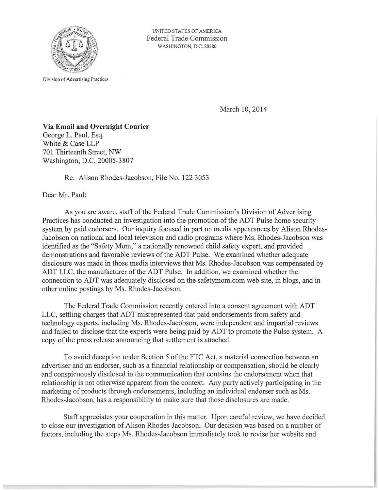

UNITED STATES OF AMERICA Federal Trade Commission WASHINGTON, D.C. 20580

Division of Advertising Practices

March 10, 2014

**Via Email and Overnight Courier**  George L. Paul, Esq. White & Case LLP 701 Thirteenth Street, NW Washington, D.C. 20005-3807

Re: Alison Rhodes-Jacobson, File No. 122 3053

Dear Mr. Paul:

As you are aware, staff of the Federal Trade Commission's Division of Advertising Practices has conducted an investigation into the promotion of the ADT Pulse home security system by paid endorsers. Our inquiry focused in part on media appearances by Alison Rhodes-Jacobson on national and local television and radio programs where Ms. Rhodes-Jacobson was identified as the "Safety Mom," a nationally renowned child safety expert, and provided demonstrations and favorable reviews of the ADT Pulse. We examined whether adequate disclosure was made in those media interviews that Ms. Rhodes-Jacobson was compensated by ADT LLC, the manufacturer of the ADT Pulse. In addition, we examined whether the connection to ADT was adequately disclosed on the safetymom.com web site, in blogs, and in other online postings by Ms. Rhodes-Jacobson.

The Federal Trade Commission recently entered into a consent agreement with ADT LLC, settling charges that ADT misrepresented that paid endorsements from safety and technology experts, including Ms. Rhodes-Jacobson, were independent and impartial reviews and failed to disclose that the experts were being paid by ADT to promote the Pulse system. A copy of the press release announcing that settlement is attached.

To avoid deception under Section 5 of the FTC Act, a material connection between an advertiser and an endorser, such as a financial relationship or compensation, should be clearly and conspicuously disclosed in the communication that contains the endorsement when that relationship is not otherwise apparent from the context. Any party actively participating in the marketing of products through endorsements, including an individual endorser such as Ms. Rhodes-Jacobson, has a responsibility to make sure that those disclosures are made.

Staff appreciates your cooperation in this matter. Upon careful review, we have decided to close our investigation of Alison Rhodes-Jacobson. Our decision was based on a number of factors, including the steps Ms. Rhodes-Jacobson immediately took to revise her website and